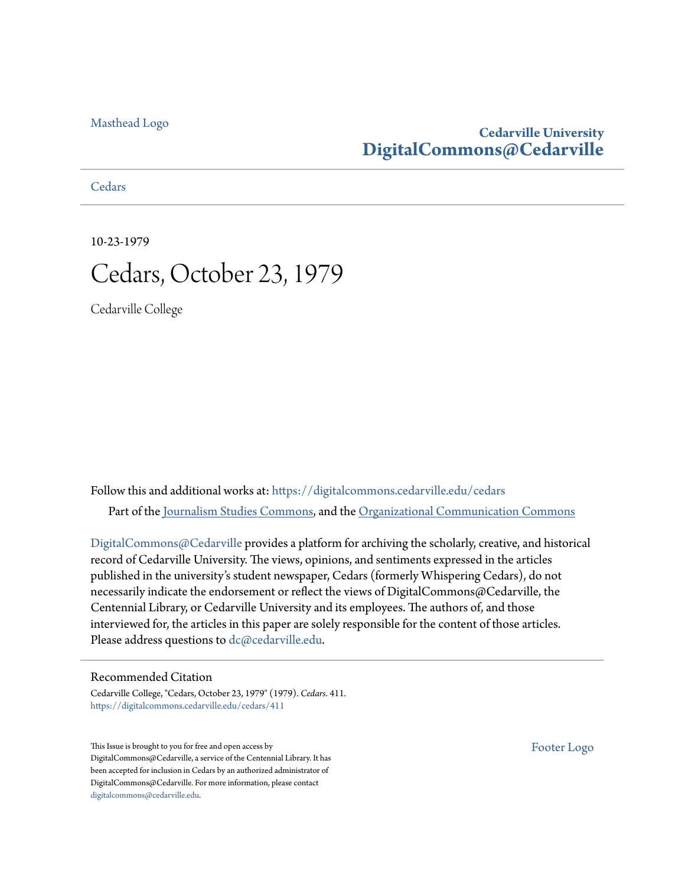[Masthead Logo](http://www.cedarville.edu/?utm_source=digitalcommons.cedarville.edu%2Fcedars%2F411&utm_medium=PDF&utm_campaign=PDFCoverPages)

### **Cedarville University [DigitalCommons@Cedarville](https://digitalcommons.cedarville.edu?utm_source=digitalcommons.cedarville.edu%2Fcedars%2F411&utm_medium=PDF&utm_campaign=PDFCoverPages)**

**[Cedars](https://digitalcommons.cedarville.edu/cedars?utm_source=digitalcommons.cedarville.edu%2Fcedars%2F411&utm_medium=PDF&utm_campaign=PDFCoverPages)** 

10-23-1979 Cedars, October 23, 1979

Cedarville College

Follow this and additional works at: [https://digitalcommons.cedarville.edu/cedars](https://digitalcommons.cedarville.edu/cedars?utm_source=digitalcommons.cedarville.edu%2Fcedars%2F411&utm_medium=PDF&utm_campaign=PDFCoverPages) Part of the [Journalism Studies Commons](http://network.bepress.com/hgg/discipline/333?utm_source=digitalcommons.cedarville.edu%2Fcedars%2F411&utm_medium=PDF&utm_campaign=PDFCoverPages), and the [Organizational Communication Commons](http://network.bepress.com/hgg/discipline/335?utm_source=digitalcommons.cedarville.edu%2Fcedars%2F411&utm_medium=PDF&utm_campaign=PDFCoverPages)

DigitalCommons $@$ Cedarville provides a platform for archiving the scholarly, creative, and historical record of Cedarville University. The views, opinions, and sentiments expressed in the articles published in the university's student newspaper, Cedars (formerly Whispering Cedars), do not necessarily indicate the endorsement or reflect the views of DigitalCommons@Cedarville, the Centennial Library, or Cedarville University and its employees. The authors of, and those interviewed for, the articles in this paper are solely responsible for the content of those articles. Please address questions to [dc@cedarville.edu.](mailto:dc@cedarville.edu)

### Recommended Citation

Cedarville College, "Cedars, October 23, 1979" (1979). *Cedars*. 411. [https://digitalcommons.cedarville.edu/cedars/411](https://digitalcommons.cedarville.edu/cedars/411?utm_source=digitalcommons.cedarville.edu%2Fcedars%2F411&utm_medium=PDF&utm_campaign=PDFCoverPages)

This Issue is brought to you for free and open access by DigitalCommons@Cedarville, a service of the Centennial Library. It has been accepted for inclusion in Cedars by an authorized administrator of DigitalCommons@Cedarville. For more information, please contact [digitalcommons@cedarville.edu](mailto:digitalcommons@cedarville.edu).

[Footer Logo](http://www.cedarville.edu/Academics/Library.aspx?utm_source=digitalcommons.cedarville.edu%2Fcedars%2F411&utm_medium=PDF&utm_campaign=PDFCoverPages)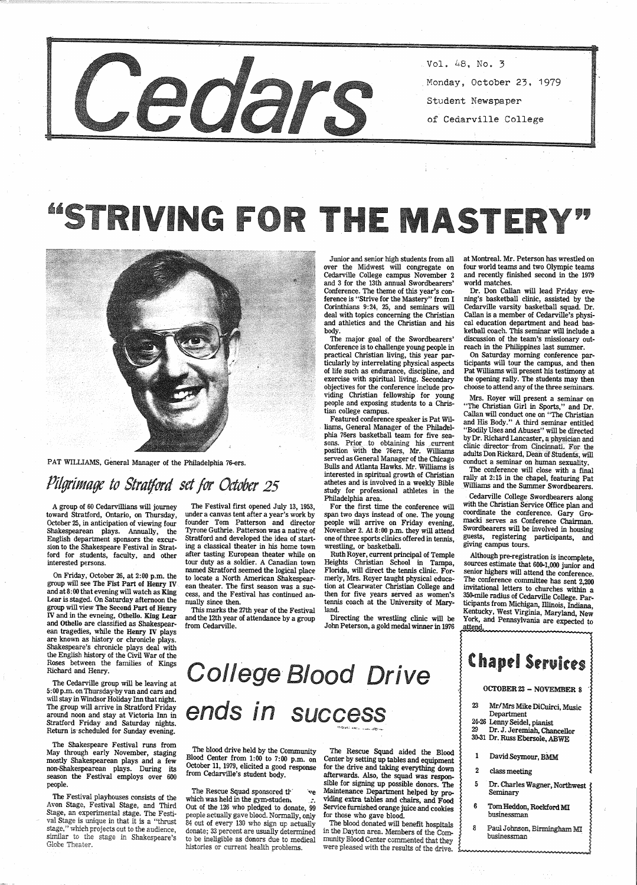

- Vol. 48, No. 3
- Mondayj October 23. 1979
- Student Newspaper
- of Cedarville College

# "STRIVING FOR THE MASTERY"



Junior and senior high students from all over the Midwest will congregate on Cedarville College campus November 2 and 3 for the 13th annual Swordbearers' Conference. The theme of this year's conference is "Strive for the Mastery" from I Corinthians 9:24, 25, and seminars will deal with topics concerning the Christian and athletics and the Christian and his body.

The major goal of the Swordbearers'<br>Conference is to challenge young people in practical Christian living, this year particularly by interrelating physical aspects<br>of life such as endurance, discipline, and<br>exercise with spiritual living. Secondary<br>objectives for the conference include pro-<br>viding Ch tian college campus.

at Montreal. Mr. Peterson has wrestled on four world teams and two Olympic teams and recently finished second in the 1979 world matches.

Dr. Don Callan will lead Friday evening's basketball clinic, assisted by the Cedarville varsity basketball squad. Dr. Callan is a member of Cedarville's physical education department and head basketball coach. This seminar will include a discussion of the team's missionary outreach in the Philippines last summer.<br>On Saturday morning conference par-

ticipants will tour the campus, and then<br>Pat Williams will present his testimony at the opening rally. The students may then choose to attend any of the three seminars.

Featured conference speaker is Pat Wil- . Iiams, General Manager of the Philadel· phia 76ers basketball team for five seasons. Prior to obtaining his current position with the 76ers, Mr. Williams served as General Manager of the Chicago Bulls and Atlanta Hawks. Mr. Williams is interested in spiritual growth of Christian athetes and is involved in a weekly Bible study for professional athletes in the Philadelphia area.

PAT WILLIAMS, General Manager of the Philadelphia 76-ers.

## Pilgrimage to Stratford set for October 25 **athetes and is involved in a weekly Bible** williams and the Summer Swordbearers.

On Friday, October 26, at 2:00 p.m. the group will see The Fist Part of Henry IV. and at  $8:00$  that evening will watch as King<br>Lear is staged. On Saturday afternoon the<br>group will view The Second Part of Henry IV and in the evneing, Othello. King Lear<br>and Othello are classified as Shakespearean tragedies, while the Henry IV plays<br>are known as history or chronicle plays. Shakespeare's chronicle plays deal with the English history of the Civil War of the Roses between the families of Kings Richard and Henry.

The Festival playhouses consists of the Avon Stage, Festival Stage, and Third Stage, an experimental stage. The Festi val Stage is unique in that it is a "thrust stage," which projects out to the audience, similar to the stage in Shakespeare's Globe Theater.

## ends in success

ollege Blood Drive

Mrs. Royer will present a seminar on "The Christian Girl in Sports," and Dr. Callan will conduct one on "The Christian and His Body." A third seminar entitled "Bodily Uses and Abuses" will be directed by Dr. Richard Lancaster, a physician and clinic directot-irom Cincinnati. For the adults Don Rickard, Dean of Students, will conduct a seminar on human sexuality. The conference will close with a final

rally at 2:15 in the chapel, featuring Pat

The Rescue Squad sponsored ir<sup>v</sup> ve which was held in the gym-studen.  $\therefore$  Out of the 126 who pledged to donate, 99 people actually gave blood. Normally, only 84 out of every 130 who sign up actually donate; 33 percent are usually determined to be ineligible as donors due to medical histories or current health problems.

المواقعة

 $\label{eq:2} \frac{1}{2} \left( \frac{1}{2} \frac{1}{2} \right) \left( \frac{1}{2} \right) \left( \frac{1}{2} \right) \left( \frac{1}{2} \right) \left( \frac{1}{2} \right) \left( \frac{1}{2} \right) \left( \frac{1}{2} \right) \left( \frac{1}{2} \right) \left( \frac{1}{2} \right) \left( \frac{1}{2} \right) \left( \frac{1}{2} \right) \left( \frac{1}{2} \right) \left( \frac{1}{2} \right) \left( \frac{1}{2} \right) \left( \frac{1}{2} \right) \left( \$ 

*<sup>A</sup>*group of 60 Cedarvillians will journey toward Stratford, Ontario, on Thursday, October 25, in anticipation of viewing four Shakespearean plays. Annually, the English department sponsors the excur sion to the Shakespeare Festival in Stratford for students, faculty, and other interested persons.

> The Rescue Squad aided the Blood<br>Center by setting up tables and equipment for the drive and taking everything down afterwards. Also, the squad was responsible for signing up possible donors. The Maintenance Department helped by pro- viding extra tables and chairs, and Food Service furnished orange juice and cookies for those who gave blood.

in the Dayton area. Members of the Community Blood Center commented that they were pleased with the results of the drive. with the Christian Service Office plan and coordinate the conference. Gary Gro-<br>macki serves as Conference Chairman. Swordbearers will be involved in housing guests, registering participants, and giving campus tours.

Although pre-registration is incomplete, sources estimate that 600-1,000 junior and senior highers will attend the conference. The conference committee has sent 2,200 invitational letters to churches within a 350-mile radius of Cedarville College. Par-<br>ticipants from Michigan, Illinois, Indiana,<br>Kentucky, West Virginia, Maryland, New<br>York, and Pennsylvania are expected to attend.

# **Chapel Services**

The Cedarville group will be leaving at 5:00 p.m. on Thursday'by van and cars and will stay in Windsor Holiday Inn that night. The group will arrive in Stratford Friday around noon and stay at Victoria Inn in Stratford Friday and Saturday nights. Return is· scheduled for Sunday evening.

The Shakespeare Festival runs from May through early November, staging mostly Shakespearean plays and a few non-Shakespearean plays. During its season the Festival employs over <sup>600</sup> people.

The Festival first opened July 13, 1953, under a canvas tent after a year's work by founder Tom Patterson and director Tyrone Guthrie. Patterson was a native of Stratford and developed the idea of starting a classical theater in his home town after tasting European theater while on tour duty as a soldier. A Canadian town named Stratford seemed the logical place to locate a North American Shakespearean theater. The first season was a success, and the Festival has continued annually since then.

This marks the 27th year of the Festival and the 12th year of attendance by a group from Cedarville.

The blood drive held by the Community Blood Center from 1:00 to 7:00 p.m. on October 11, 1979, elicited a good response from Cedarville's student body.

For the first time the conference will span two days instead of one. The young people will arrive on Friday evening, November 2. At 8:00 p.m. they will attend one of three sports clinics offered in tennis,

wrestling, or basketball. Ruth Royer, current principal of Temple Heights Christian School in Tampa, Florida, will direct the tennis clinic. For· merly, Mrs. Royer taught physical education at Clearwater Christian College and then for five years served as women's tennis coach at the University of Mary- land.

 Directing the wrestling clinic will be John Peterson, a gold medal winner in 1976

OCTOBER 23 - NOVEMBER 8

23 Mr/Mrs Mike DiCuirci, Music Department  $24-26$  Lenny Seidel, pianist<br> $29$  Dr. J. Jeremiah Char Dr. J. Jeremiah, Chancellor 30-31 Dr. Russ Ebersole. ABWE

- 1 David Seymour, BMM
- 2 class meeting
- 5 Dr. Charles Wagner, Northwest Seminary
- 6 Tom Heddon, Rockford MI businessman
- 8 Paul Johnson, Birmingham MI businessman ·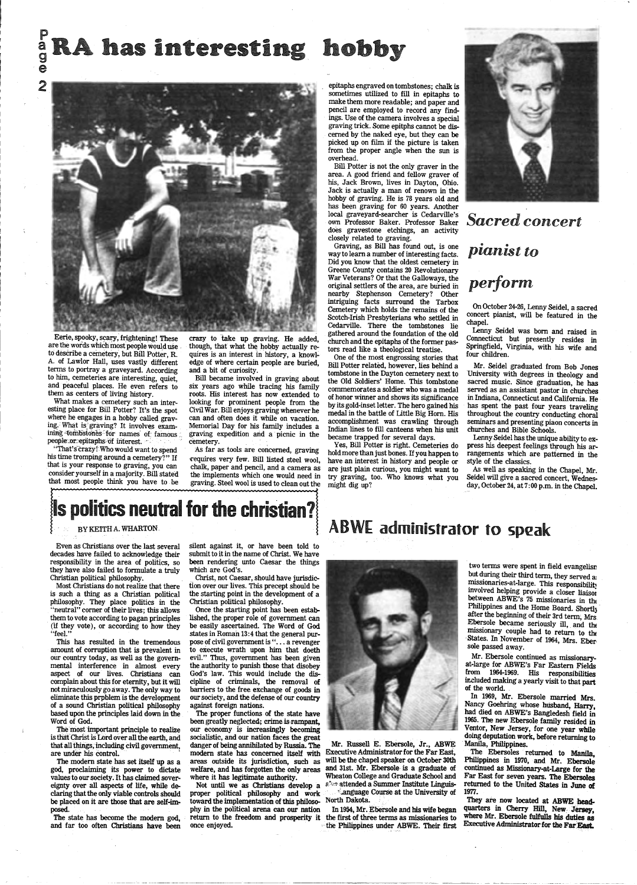p

## $_{\rm g}^{\rm a}$  RA has interesting ho



a e

2

Eerie, spooky, scary, frightening! These are the words which most people would use \_ to describe a cemetery; but Bill Potter, R. A. of Lawlor Hall, uses vastly different terms to portray a graveyard. According to him, cemeteries are interesting, quiet, and peaceful places. He even refers to them as centers of living history.

What makes a cemetery such an interesting place for Bill Potter? It's the spot where he engages in a hobby called graving. What is graving? It involves exam-<br>ining 4ombstones for names of famous; people.or.epitaphs of interest.

"That's crazy! Who would want to spend his time tromping around a cemetery?" If that is your response to graving, you can consider yourself in a majority. Bill stated that most people think you have to be

crazy to take up graving. He added, though, that what the hobby actually requires is an interest in history, a knowledge of where certain people are buried, and a bit of curiosity.

Bill became involved in graving about six years ago while tracing his family roots. His interest has now extended to looking for prominent people from the Civil War. Bill enjoys graving whenever he can and often does it while on vacation. Memorial Day for his family includes a graving expedition and a picnic in the cemetery. .

As far as tools are concerned, graving requires very few. Bill listed steel wool, chalk, paper and pencil, and a camera as the implements which one would need in graving. Steel wool is used to clean out the

BY KEITHA. WHARTON.

Christ, not Caesar, should have jurisdiction over our lives. This precept should be the starting point in the development of a Christian political philosophy.

Even as Christians over the last several decades have failed to acknowledge their responsibility in the area of politics, so they have also failed to formulate a truly Christian political philosophy.

Most Christians do not realize that there is such a thing as a Christian political philosophy. They place politics in the "neutral" corner of their lives; this allows them to vote according to pagan principles (if they vote), or according to how they "feel."

This has resulted in the tremendous amount of corruption that is prevalent in our country today, as well as the governmental interference in almost every aspect of our lives. Christians can complain about this for eternity, but it will not miraculously go away. The only way to eliminate this prpblem is the development of a sound Christian political philosophy based upon the principles laid down in the Word of God.

The modern state has set itself up as a god, proclaiming its power to dictate values to our society. It has claimed sovereignty over all aspects of life, while declaring that the only viable controls should be placed on it are those that are self-imposed.

The state has become the modern god, and far too often Christians have been

silent against it, or have been told to submit to it in the name of Christ. We have been rendering unto Caesar the things which are God's.

Once the starting point has been established, the proper role of government can be easily ascertained. The Word of God states in Roman 13:4 that the general purpose of civil government is "... a revenger to execute wrath upon him that doeth evil." Thus, government has been given the authority to punish those that disobey God's law. This would include the discipline of criminals, the removal of barriers to the free exchange of goods in our society, and the defense of our country against foreign nations. The proper functions of the state have been greatly neglected; crime is rampant, our economy is increasingly becoming socialistic, and our nation faces the great danger of being annihilated by Russia. The modern state has concerned itself with areas outside its jurisdiction, such as welfare, and has forgotten the only areas where it has legitimate authority. Not until we as Christians develop a proper political philosophy and work toward the implementation of this philosophy in the political arena can our nation return to the freedom and prosperity it once enjoyed.

Mr. Ebersole continued as missionaryat-large for ABWE's Far Eastern Fields from 1964-1969. His responsibilities included making a yearly visit to that part of the world.

The most important principle to realize is that Christ is Lord over all the earth, and that all things, including civil government, are under his control.

-----------------·~- ----

### ABWE administrator to speak



epitaphs engraved on tombstones; chalk is sometimes utilized to fill in epitaphs to make them more readable; and paper and pencil are employed to record any findings. Use of the camera involves a special graving trick. Some epitphs cannot be discerned by the naked eye, but they can be picked up on film if the picture is taken from the proper angle when the sun is overhead.

Bill Potter is not the only graver in the area. A good friend and fellow graver of his, Jack Brown, lives in Dayton, Ohio. Jack is actually a man of renown in the hobby of graving. He is 78 years old and has been graving for 60 years. Another local graveyard-searcher is Cedarville's own Professor Baker. Professor Baker does gravestone etchings, an activity closely related to graving.

Graving, as Bill has found out, is one way to learn a number of interesting facts. Did you know that the oldest cemetery in Greene County contains 20 Revolutionary War Veterans? Or that the Galloways, the original settlers of the area, are buried in nearby Stephenson Cemetery? Other intriguing facts surround the Tarbox Cemetery which holds the remains of the Scotch-Irish Presbyterians who settled in Cedarville. There the tombstones lie gathered around the foundation of the old church and the epitaphs of the former pastors read like a theological treatise.

One of the most engrossing stories that Bill Potter related, however, lies behind a tombstone in the Dayton cemetery next to the Old Soldiers' Home. This tombstone commemorates a soldier who was a medal of honor winner and shows its significance by its gold-inset letter. The hero gained his medal in the battle of Little Big Horn. His accomplishment was crawling through Indian lines to fill canteens when his unit became trapped for several days.

Yes, Bill Potter is right. Cemeteries do hold more than just bones. If you happen to have an interest in history and people or are just plain curious, you might want to try graving, too. Who knows what you might dig up?



### **Sacred concert**

*pianist to* 

### *perform*

On October 24-26, Lenny Seidel, a sacred concert pianist, will be featured in the chapel.

Lenny Seidel was born and raised in Connecticut but presently resides in Springfield, Virginia, with his wife and four children.

. Mr. Seidel graduated from Bob Jones University with degrees in theology and sacred music. Since graduation, he has served as an assistant pastor in churches in Indiana, Connecticut and California. He has spent the past four years traveling throughout the country conducting choral seminars and presenting piaon concerts in churches and Bible Schools.

Lenny Seidel has the unique ability to express his deepest feelings through his arrangements which are patterned in the style of the classics.

As well as speaking in the Chapel, Mr. Seidel will give a sacred concert, Wednesday, October 24, at 7: 00 p.m. in the Chapel.

### $\parallel$ s politics neutral for the christian? $\parallel$

Mr. Russell E. Ebersole, Jr., ABWE Executive Administrator for the Far East, will be the chapel speaker on October 30th and 31st. Mr. Ebersole- is a graduate of Wheaton College and Graduate School and a'm attended a Summer Institute Linguis-**Example 2** Course at the University of North Dakota.

In 1954, Mr. Ebersole and his wife began the first of three terms as missionaries to the Philippines under ABWE. Their first

·"

two terms were spent in field evangelisn but during their third term, they served a: missionaries-at-large. This responsibility mvolved helping provide a closer liaisoi between ABWE's 75 missionaries in the Philippines and the Home Board. Shortly after the beginning of their 3rd term; Mrs. Ebersole became seriously ill, and the missionary couple had to return to the States. In November of 1964, Mrs. Ebersole passed away.

In 1969, Mr. Ebersole married Mrs. Nancy Goehring whose husband, Harry, had died on ABWE's Bangledesh field in 1965. The new Ebersole family resided in Ventor, New Jersey, for one year while doing deputation work, before returning to Manila, Philippines.

The Ebersoles returned to Manila Philippines in 1970, and Mr. Ebersole continued as Missionary-at-Large for the Far East for seven years. The Ebersoles returned to the United States in June of 1977.

They are now located at ABWE headquarters in Cherry Hill, New Jersey, where Mr. Ebersole fulfulls his duties as Executive Administrator for the Far East.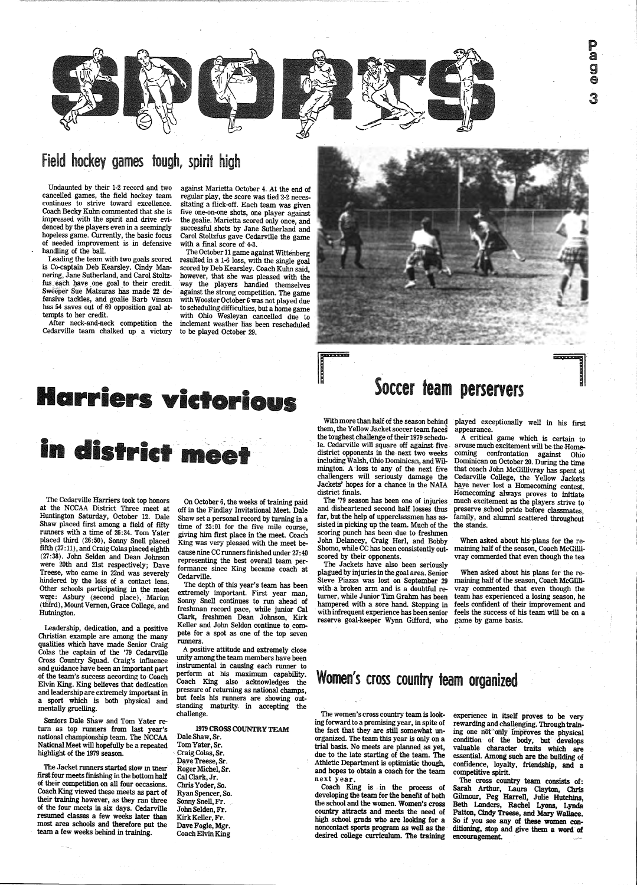### Field hockey games tough, spirit high

Undaunted by their 1-2 record and two continues to strive toward excellence. Coach Becky Kuhn commented that she is impressed with the spirit and drive evihopeless game. Currently, the basic focus of needed improvement is in defensive handling of the ball.

Leading the team with two goals scored is Co-captain Deb Kearsley. Cindy Mannering, Jane Sutherland, and Carol Stoltzfus each have one goal to their credit. Sweeper Sue Matzuras has made 22 defensive tackles, and goalie Barb Vinson has 54 saves out of 69 opposition goal attempts to her credit.

After neck-and-neck competition the Cedarville team chalked up a victory

The Cedarville Harriers took top honors at the NCCAA District Three meet at Huntington Saturday, October 12. Dale Shaw placed first among a field of fifty runners with a time of 26:34. Tom Yater placed third (26:50), Sonny Snell placed  $fifth (27:11), and Craig Colas placed eighth$ (27:38). John Selden and Dean Johnson were 20th and 21st respectively; Dave Treese, who came in 22nd was severely hindered by the loss of a contact lens. other schools participating in the meet were: Asbury (second place), Marion (thrrd), Mount Vernon, Grace College, and Hutnington.

The Jacket runners started slow in their first four meets finishing in the bottom half of their competition on all four occasions. Coach King viewed these meets as part of their training however, as they ran three of the four meets in six days. Cedarville resumed classes a few weeks later than most area schools and therefore put the team a few weeks behind in training.

The October 11 game against Wittenberg resulted in a 1-6 loss, with the single goal scored by Deb Kearsley. Coach Kuhn said, however, that she was pleased with the way the players handled themselves against the strong competition. The game with Wooster October 6 was not played due<br>to scheduling difficulties, but a home game with Ohio Wesleyan cancelled due to inclement weather has been rescheduled to be played October 29.



rriers victorid

## in district meet

Leadership, dedication, and a positive Christian example are among the many qualities which have made Senior Craig Colas the captain of the '79 Cedarville Cross Country Squad. Craig's influence and guidance have been an important part of the team's success according to Coach Elvin King. King believes that dedication and leadership are extremely important in a sport which is both physical and mentally gruelling.

Seniors Dale Shaw and Tom Yater return as top runners from last year's national championship team. The NCCAA National Meet will hopefully be a repeated highlight of the 1979 season. against Marietta October 4. At the end of regular play, the score was tied 2-2 necessitating a flick-off. Each team was given five one-on-one shots, one player against the goalie. Marietta scored only once, and successful shots by Jane Sutherland and Carol Stoltzfus gave Cedarville the game with a final score of 4-3.

> scoring punch has been due to freshmen John Delancey, Craig Herl, and Bobby Shomo, while CC has been consistently out scored by their opponents.

hampered with a sore hand. Stepping in feels confident of their improvement and<br>with infrequent experience has been senior feels the success of his team will be on a When asked about his plans for the remaining half of the season, Coach McGillivray commented that even though the team has experienced a losing season, he

On October 6, the weeks of training paid off in the Findlay Invitational Meet. Dale Shaw set a personal record by turning in a time of 25:01 for the five mile course, <sup>g</sup>iving him first place in the meet. Coach King was very pleased with the meet because nine CC runners finished under 27 :40 representing the best overall team performance since King became coach at Cedarville.

The depth of this year's team has been extremely important. First year man, Sonny Snell continues to run ahead of freshman record pace, while junior Cal Clark, freshmen Dean Johnson, Kirk Keller and John Seldon continue to compete for a spot as one of the top seven runners.

<sup>A</sup>positive attitude and extremely close unity among the team members have been instrumental in causing each runner to<br>perform at his maximum capability. Coach King also acknowledges the pressure of returning as national champs, but feels his runners are showing out-<br>standing maturity. in accepting the challenge.

### Soccer team perservers

With more than half of the season behind played exceptionally well in his first them, the Yellow Jacket soccer team faces appearance.<br>the toughest challenge of their 1979 schedu-<br>let a critical game which is certain to le

1979 CROSS COUNTRY TEAM Dale Shaw, Sr. Tom Yater, Sr. · Craig Colas, Sr. Daye Treese, Sr. Roger Michel, Sr. Cal Clark, Jr. Chris Yoder, So. RyanSpencer,So. Sonny Snell, Fr. John Selden, Fr. Kirk Keller, Fr. Dave Fogle, Mgr. Coach Elvin King



The Jackets have also been seriously plagued by injuries in the goal area. Senior· Steve Piazza was lost on September 29 with a broken arm and is a doubtful returner, while Junior Tim Grahm has been hampered with a sore hand. Stepping in reserve goal-keeper Wynn Gifford, who game by game basis.

including Walsh, Ohio Dominican, and Wil-Dominican on October 20. During the time<br>mington. A loss to any of the next five that coach John McGillivray has spent at<br>challengers will seriously damage the Cedarville College, t

When asked about his·plans for the remaining half of the season, Coach McGillivray commented that even though the tea

Women's cross country team organized

The women's cross country team is looking forward to a promising year, in spite of the fact that they are still somewhat unorganized. The team this year is only on a<br>trial basis. No meets are planned as yet, due to the late starting of the team. The Athletic Department is optimistic though, and hopes to obtain a coach for the team next year.

Coach King is in the process of developing the team for the benefit of both the school and the women. Women's cross country attracts and meets the need of high school grads who are looking for a noncontact sports program as well as the desired college curriculum. The training

experience in itself proves to be very rewarding and challenging. Through train-<br>ing one not only improves the physical condition of the body, but develops valuable character traits which are essential. Among such are the building of confidence, loyalty, friendship, and <sup>a</sup> competitive spirit.

The cross country team consists of: Sarah Arthur, Laura Clayton, Chris Gilmour, Peg Harrell, Julie Hutchins, Beth Landers, Rachel Lyons, Lynda Patton, Cindy Treese, and Mary Wallace. So if you see any of these women conditioning, stop and give them a word of encouragement.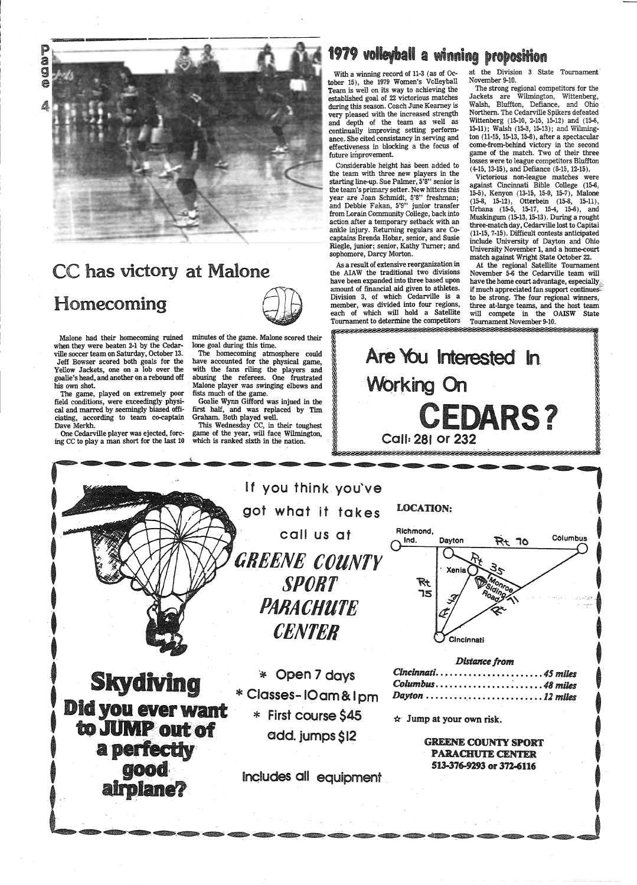P a g



### CC has victory at Malone

### Homecoming

Malone had their homecoming ruined when they were beaten 2-1 by the Cedarville soccer team on Saturday, October 13. Jeff Bowser scored both goals for the Yellow Jackets, one on a lob over the goalie's head, and another on a rebound off his own shot.

The game, played on extremely poor field conditions, were exceedingly physical and marred by seemingly biased officiating, according to team co-captain Dave Merkh.

One Cedarville player was ejected, forcing CC to play a man short for the last 10



The homecoming atmosphere could have accounted for the physical game, with the fans riling the players and abusing the referees. One frustrated Malone player was swinging elbows and fists much of the game.

Goalie Wynn Gifford was injued in the first half, and was replaced by Tim Graham. Both played well.

This Wednesday CC, in their toughest game of the year, will face Wilmington, which is ranked sixth in the nation.

### 1979 volleyball a winning proposition

at the Division 3 State Tournament November 9-10.

With a winning record of 11-3 (as of October 15), the 1979 Women's Volleyball Team is well on its way to achieving the established goal of 22 victorious matches during this season. Coach June Kearney is very pleased with the increased strength and depth of the team as well as continually improving setting performance. She cited consistancy in serving and effectiveness in blocking a the focus of future improvement.

Considerable height has been added to the team with three new players in the starting line-up. Sue Palmer, 5'8" senior is the team's primary setter. New hitters this year are Joan Schmidt, 5'8" freshman; and Debbie Fakan, 5'9" junior transfer from Lorain Community College, back into action after a temporary setback with an ankle injury. Returning regulars are Cocaptains Brenda Hobar, senior, and Susie Riegle, junior; senior, Kathy Turner; and sophomore, Darcy Morton.

As a result of extensive reorganization in the AIAW the traditional two divisions have been expanded into three based upon amount of financial aid given to athletes. Division 3, of which Cedarville is a member, was divided into four regions, each of which will hold a Satellite Tournament to determine the competitors 

The strong regional competitors for the Jackets are Wilmington, Wittenberg, Walsh, Bluffton, Defiance, and Ohio Northern. The Cedarville Spikers defeated Wittenberg (15-10, 2-15, 15-12) and (15-6, 15-11); Walsh (15-3, 15-13); and Wilmington (11-15, 15-13, 15-8), after a spectacular come-from-behind victory in the second game of the match. Two of their three losses were to league competitors Bluffton (4-15, 13-15), and Defiance (8-15, 12-15).





### **Did you ever want** to JUMP out of a perfectly **good** airplane?

Classes-IOam&Ipm \* First course \$45 add. jumps \$12

 $\mathbf{\hat{x}}$  Jump at your own risk.

Dayton.

**GREENE COUNTY SPORT PARACHUTE CENTER** 513-376-9293 or 372-6116

 $\ldots$  . 12 miles

Includes all equipment

Victorious non-league matches were against Cincinnati Bible College (15-6, 15-5), Kenyon (13-15, 15-9, 15-7), Malone (15-8, 15-12), Otterbein (15-8, 15-11), Urbana (15-5, 15-17, 15-4, 15-6), and Muskingum (15-13, 15-13). During a rought three-match day, Cedarville lost to Capital (11-15, 7-15). Difficult contests anticipated include University of Dayton and Ohio University November 1, and a home-court match against Wright State October 22.

At the regional Satellite Tournament November 5-6 the Cedarville team will have the home court advantage, especially if much appreciated fan support continues: to be strong. The four regional winners, three at-large teams, and the host team will compete in the OAISW State Tournament November 9-10.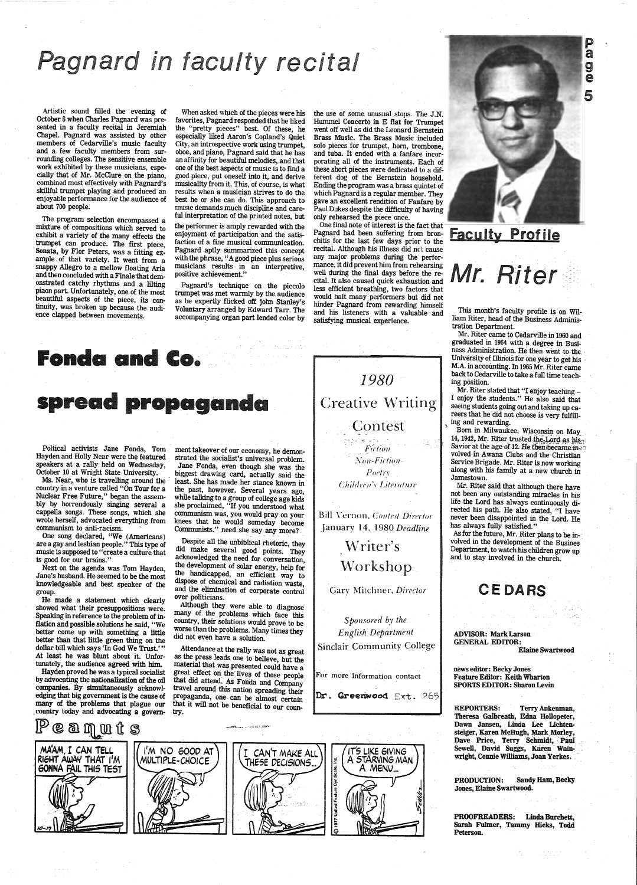## **Pagnard in faculty recital**

Artistic sound filled the evening of October 6 when Charles Pagnard was presented in a faculty recital in Jeremiah Chapel. Pagnard was assisted by other members of Cedarville's music faculty and a few faculty members from surrounding colleges. The sensitive ensemble work exhibited by these musicians, especially that of Mr. McClure on the piano, combined most effectively with Pagnard's skillful trumpet playing and produced an enjoyable performance for the audience of about 700 people.

The program selection encompassed a mixture of compositions which served to exhibit a variety of the many effects the trumpet can produce. The first piece, Sonata, by Flor Peters, was a fitting example of that variety. It went from a snappy Allegro to a mellow floating Aria and then concluded with a Finale that demonstrated catchy rhythms and a lilting <sup>p</sup>iaon part. Unfortunately, one of the most beautiful aspects of the piece, its continuity, was broken up because the audience clapped between movements.

When asked which of the pieces were his favorites, Pagnard responded that he liked the "pretty pieces" best. Of these, he especially liked Aaron's Copland's Quiet City, an introspective work using trumpet, oboe, and piano, Pagnard said that he has an affinity for beautiful melodies, and that one of the best aspects of music is to find a good piece, put oneself into it, and derive musicality from it. This, of course, is what results when a musician strives to do the best he or she can do. This approach to music demands much discipline and careful interpretation of the printed notes, but

edging that big government is the cause of many of the problems that plague our country today and advocating a govern- try.

 $\mathbb{P}$  e a  $\mathbb{q}$  or  $t$  s  $^-$ 

ment takeover of our economy, he demonstrated the socialist's universal problem. Jane Fonda, even though she was the biggest drawing card, actually said the least. She has made her stance known in the past, however. Several years ago, while talking to a group of college age kids she proclaimed, "If you understood what communism was, you would pray on your knees that he would someday become  ${\tt Communist."}$  need she say any more?

the performer is amply rewarded with the enjoyment of participation and the satisfaction of a fine musical communication. Pagnard aptly swnmarized this concept with the phrase, "A good piece plus serious musicians results in an interpretive, positive achievement."

Pagnard's technique on the piccolo trumpet was met warmly by the audience as he expertly flicked off john Stanley's Voluntary arranged by Edward Tarr. The accompanying organ part lended color by

### Fonda and Co.

### spread propaganda

Although they were able to diagnose many of the problems which face this country, their solutions would prove to be worse than the problems. Many times they did not even have a solution.

Poltical activists Jane Fonda, Tom Hayden and Holly Near were the featured speakers at a rally held on Wednesday, October 10 at Wright State University.

Ms. Near, who is travelling around the country in a venture called "On Tour for a Nuclear Free Future," began the assembly by horrendously singing several <sup>a</sup> cappella songs. These songs, which she wrote herself, advocated everything from communism to anti-racism.

One song declared, "We (Americans) are a gay and lesbian people." This type of music is supposed to "create a culture that is good for our brains."

Next on the agenda was Tom Hayden, Jane's husband. He seemed to be the most knowledgeable and best speaker of the group.

He made a statement which clearly showed what their presuppositions were. Speaking in reference to the problem of inflation and possible solutions he said, "We better come up with something a little better than that little green thing on the dollar bill which says 'In God We Trust.'" At least he was blunt about it. Unfortunately, the audience agreed with him.

Bill Vernon, Contest Director January 14, *I980Deadline* 

> Writer's Workshop

MAAM, I CAN TELL Rl6MT AWAY TMAT 1<sup>1</sup>M GONNA FAIL THIS TEST

Hayden proved he was a typical socialist by advocating the nationalization of the oil companies. By simultaneously acknowl-

Mr. Riter stated that "I enjoy teaching -I enjoy the students." He also said that seeing students going out and taking up careers that he did not choose is very fulfilling and rewarding.

Born in Milwaukee, Wisconsin on May<br>14, 1942, Mr. Riter trusted the Lord as his Savior at the age of 12. He then became in<sup>30</sup> volved in Awana Clubs and the Christian Service Brigade. Mr. Riter is now working along with his family at a new church in Jamestown.

REPORTERS: Terry Ankenman, Theresa Galbreath, Edna Hollopeter, Dawn Jansen, Linda Lee Lichtensteiger, Karen McHugh, Mark Morley, Dave Price, Terry Schmidt, Paul Sewell, David Suggs, Karen Wainwright, Connie Williams, Joan Yerkes.

 Despite all the unbiblical rhetoric, they did make several good points. They acknowledged the need for conversation, the development of solar energy, help for the handicapped, an efficient way to dispose of chemical and radiation waste, and the elimination of corporate control over politicians.

Attendance at the rally was not as great as the press leads one to believe, but the material that was presented could have a great effect on the lives of those people that did attend. As Fonda and Company travel around this nation spreading their

the use of some unusual stops. The J.N. Hummel Concerto in E flat for Trumpet went off well as did the Leonard Bernstein Brass Music. The Brass Music included solo pieces for trumpet, horn, trombone, and tuba. It ended with a fanfare incorporating all of the instruments. Each of these short pieces were dedicated to a different dog of the Bernstein household. Ending the program was a brass quintet of which Pagnard is a regular member. They gave an excellent rendition of Fanfare by Paul Dukes despite the difficulty of having only rehearsed the piece once.

One final note of interest is the fact that Pagnard had been suffering from bronchitis for .the last few days prior to the recital. Although his illness did nct cause any major problems during the performance, it did prevent him from rehearsing well during the final days before the recital. It also caused quick exhaustion and less efficient breathing, two factors that would halt many performers but did not hinder Pagnard from rewarding himself and his listeners with a· valuable and satisfying musical experience.

*1980*  Creative Writing Contest

> <sup>~</sup>. -, -  $\alpha$  ,  $\mathcal{R}$  ,  $\alpha$  . The Fiction  $Non-Fiction P_{0}$  etry *C!ii!drm* '.1 *Literature*

Gary Mitchner, Director

*Sponsored* by *the English Department*  Sinclair Community College

For more information contact



## **Faculty Profile**

Mr. Riter



This month's faculty profile is on William Riter, head of the Business Administration Department.

Mr. Riter came to Cedarville in 1960 and graduated in 1964 with a. degree in Business Administration. He then went to the University of Illinois for one year to get his M.A. in accounting. In 1965 Mr. Riter came back to Cedarville to take a full time teaching position.

Mr. Riter said that although there have not been any outstanding miracles in his life the Lord has always continuously directed his path. He also stated, "I have never been disappointed in the Lord. He has always fully satisfied."

As for the future, Mr. Riter plans to be involved in the development of the Busines Department, to watch his children grow up and to stay involved in the church.

### **CEDARS**

ADVISOR: Mark Larson GENERAL EDITOR:

Elaine Swartwood

news editor: Becky Jones Feature Editor: Keith Wharton SPORTS EDITOR: Sharon Levin **D**<br>a ge 5

PRODUCTION: Sandy Ham, Becky Jones, Elaine Swartwood.

PROOFREADERS: Linda Burchett, Sarah Fulmer, Tammy Hicks, Todd Peterson.

 $\mathcal{L}_{\text{max}}$  .

 $\label{eq:1} \begin{array}{l} \mathcal{L}_{\mathcal{A}}(\mathbf{x},\mathbf{y})=\mathcal{L}_{\mathcal{A}}(\mathbf{x},\mathbf{y})\\ \mathcal{L}_{\mathcal{A}}(\mathbf{x},\mathbf{y})=\mathcal{L}_{\mathcal{A}}(\mathbf{x},\mathbf{y})\\ \mathcal{L}_{\mathcal{A}}(\mathbf{x},\mathbf{y})=\mathcal{L}_{\mathcal{A}}(\mathbf{x},\mathbf{y}) \end{array}$